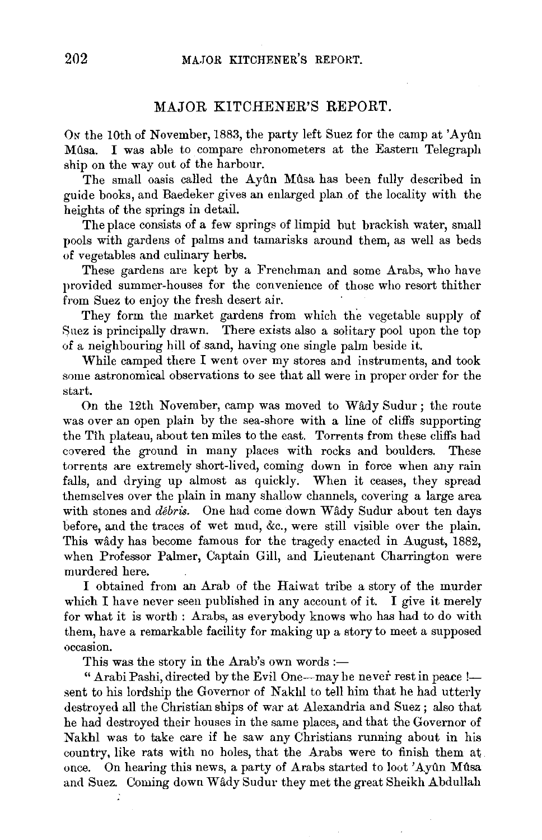## MAJOR KITCHENER'S REPORT.

ON the lOth of November, 1883, the party left Suez for the camp at 'Ayftn Mûsa. I was able to compare chronometers at the Eastern Telegraph ship on the way out of the harbour.

The small oasis called the Ayûn Mûsa has been fully described in guide books, and Baedeker gives an enlarged plan of the locality with the heights of the springs in detail.

The place consists of a few springs of limpid but brackish water, small pools with gardens of palms and tamarisks around them, as well as beds of vegetables and culinary herbs.

These gardens are kept by a Frenchman and some Arabs, who have provided summer-houses for the convenience of those who resort thither from Suez to enjoy the fresh desert air.

They form the market gardens from which the vegetable supply of Suez is principally drawn. There exists also a solitary pool upon the top of a neighbouring hill of sand, having one single palm beside it.

While camped there I went over my stores and instruments, and took some astronomical observations to see that all were in proper order for the start.

On the 12th November, camp was moved to Wady Sudur; the route was over an open plain by the sea-shore with a line of cliffs supporting the Tih plateau, about ten miles to the east. Torrents from these cliffs had covered the ground in many places with rocks and boulders. These torrents are extremely short-lived, coming down in force when any rain falls, and drying up almost as quickly. When it ceases, they spread themselves over the plain in many shallow channels, covering a large area with stones and *debris.* One had come down Wady Sudur about ten days before, and the traces of wet mud, &c., were still visible over the plain. This wâdy has become famous for the tragedy enacted in August, 1882, when Professor Palmer, Captain Gill, and Lieutenant Charrington were murdered here.

I obtained from an Arab of the Haiwat tribe a story of the murder which I have never seen published in any account of it. I give it merely for what it is worth : Arabs, as everybody knows who has had to do with them, have a remarkable facility for making up a story to meet a supposed occasion.

This was the story in the Arab's own words :-

" Arabi Pashi, directed by the Evil One-may he never rest in peace  $!$ sent to his lordship the Governor of *N* akhl to tell him that he had utterly destroyed all the Christian ships of war at Alexandria and Suez ; also that he had destroyed their houses in the same places, and that the Governor of Nakhl was to take care if he saw any Christians running about in his country, like rats with no holes, that the Arabs were to finish them at once. On hearing this news, a party of Arabs started to loot 'Ayûn Mûsa and Suez. Coming down Wady Sudur they met the great Sheikh Abdullah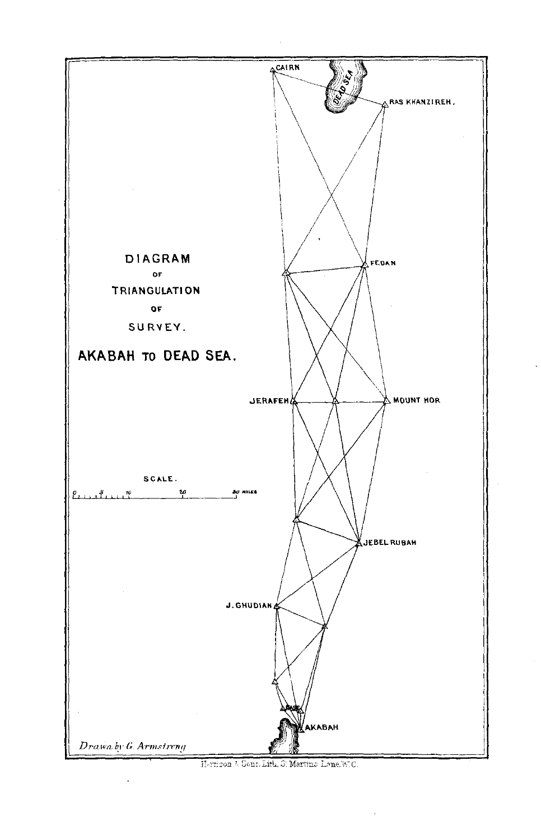

H-rrison & Sone. Lith. St Martins Lane, W.C.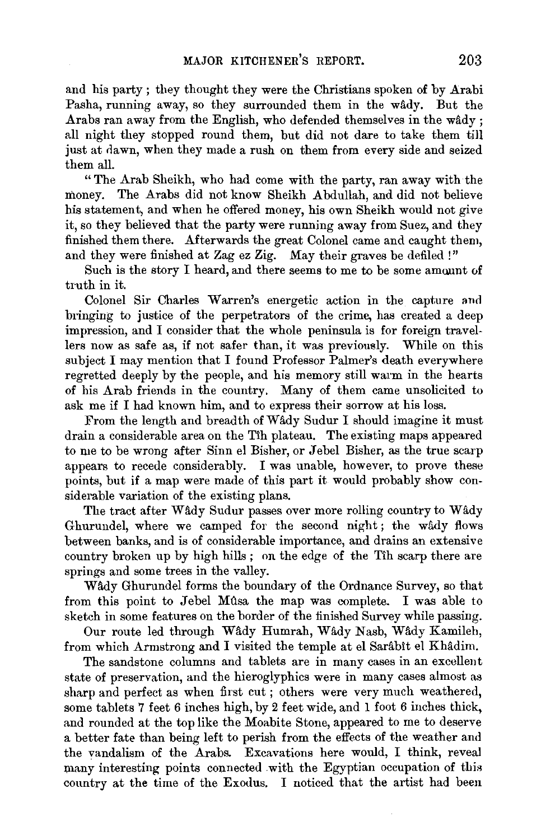and his party ; they thought they were the Christians spoken of by Arabi Pasha, running away, so they surrounded them in the wady. But the Arabs ran away from the English, who defended themselves in the wady; all night they stopped round them, but did not dare to take them till just at dawn, when they made a rush on them from every side and seized them all.

"The Arab Sheikh, who had come with the party, ran away with the money. The Arabs did not know Sheikh Abdullah, and did not believe his statement, and when he offered money, his own Sheikh would not give it, so they believed that the party were running away from Suez, and they finished them there. Afterwards the great Colonel came and caught them, and they were finished at Zag ez Zig. May their graves be defiled !"

Such is the story I heard, and there seems to me to be some amuunt of truth in it.

Colonel Sir Charles Warren's energetic action in the capture and bringing to justice of the perpetrators of the crime, has created a deep impression, and I consider that the whole peninsula is for foreign travellers now as safe as, if not safer than, it was previously. While on this subject I may mention that I found Professor Palmer's death everywhere regretted deeply by the people, and his memory still warm in the hearts of his Arab friends in the country. Many of them came unsolicited to ask me if I had known him, and to express their sorrow at his loss.

From the length and breadth of Wady Sudur I should imagine it must drain a considerable area on the Tih plateau. The existing maps appeared to me to be wrong after Sinn el Bisher, or Jebel Bisher, as the true scarp appears to recede considerably. I was unable, however, to prove these points, but if a map were made of this part it would probably show considerable variation of the existing plans.

The tract after Wâdy Sudur passes over more rolling country to Wâdy Ghurundel, where we camped for the second night; the wady flows between banks, and is of considerable importance, and drains an extensive country broken up by high hills; on the edge of the Tih scarp there are springs and some trees in the valley.

Wady Ghurundel forms the boundary of the Ordnance Survey, so that from this point to Jebel Mûsa the map was complete. I was able to sketch in some features on the border of the finished Survey while passing.

Our route led through Wâdy Humrah, Wâdy Nasb, Wâdy Kamileh, from which Armstrong and I visited the temple at el Sarâbît el Khâdim.

The sandstone columns and tablets are in many cases in an excellent state of preservation, and the hieroglyphics were in many cases almost as sharp and perfect as when first cut ; others were very much weathered, some tablets 7 feet 6 inches high, by 2 feet wide, and 1 foot 6 inches thick, and rounded at the top like the Moabite Stone, appeared to me to deserve a better fate than being left to perish from the effects of the weather and the vandalism of the Arabs. Excavations here would, I think, reveal many interesting points connected with the Egyptian occupation of this country at the time of the Exodus. I noticed that the artist had been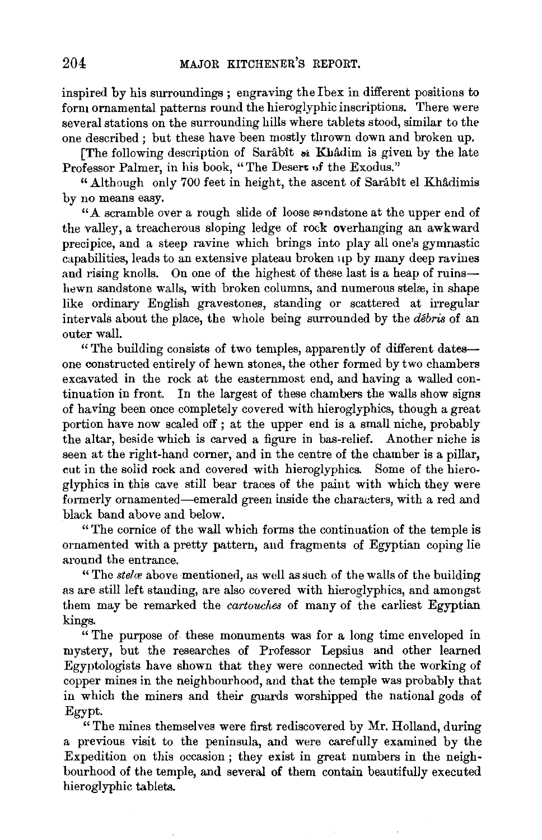inspired by his surroundings ; engraving the Ibex in different positions to form ornamental patterns round the hieroglyphic inscriptions. There were several stations on the surrounding hills where tablets stood, similar to the one described ; but these have been mostly thrown down and broken up.

[The following description of Sarâbît  $\bullet$  Khadim is given by the late Professor Palmer, in his book, "The Desert of the Exodus."

"Although only 700 feet in height, the ascent of Sarabit el Khadimis by no means easy.

"A scramble over a rough slide of loose sandstone at the upper end of the valley, a treacherous sloping ledge of rock overhanging an awkward precipice, and a steep ravine which brings into play all one's gymnastic capabilities, leads to an extensive plateau broken up by many deep ravines and rising knolls. On one of the highest of these last is a heap of ruinshewn sandstone walls, with broken columns, and numerous stelæ, in shape like ordinary English gravestones, standing or scattered at irregular intervals about the place, the whole being surrounded by the *debris* of an outer wall.

"The building consists of two temples, apparently of different datesone constructed entirely of hewn stones, the other formed by two chambers excavated in the rock at the easternmost end, and having a walled continuation in front. In the largest of these chambers the walls show signs of having been once completely covered with hieroglyphics, though a great portion have now scaled off ; at the upper end is a small niche, probably the altar, beside which is carved a figure in has-relief. Another niche is seen at the right-hand corner, and in the centre of the chamber is a pillar, cut in the solid rock and covered with hieroglyphics. Some of the hieroglyphics in this cave still bear traces of the paint with which they were formerly ornamented-emerald green inside the characters, with a red and black band above and below.

"The cornice of the wall which forms the continuation of the temple is ornamented with a pretty pattern, and fragments of Egyptian coping lie around the entrance.

"The *stelce* above mentioned, as well as such of the walls of the building as are still left standing, are also covered with hieroglyphics, and amongst them may be remarked the *cartouches* of many of the earliest Egyptian kings.

" The purpose of these monuments was for a long time enveloped in mystery, but the researches of Professor Lepsius and other learned Egyptologists have shown that they were connected with the working of copper mines in the neighbourhood, and that the temple was probably that in which the miners and their guards worshipped the national gods of Egypt.

"The mines themselves were first rediscovered by Mr. Holland, during a previous visit to the peninsula, and were carefully examined by the Expedition on this occasion ; they exist in great numbers in the neighbourhood of the temple, and several of them contain beautifully executed hieroglyphic tablets.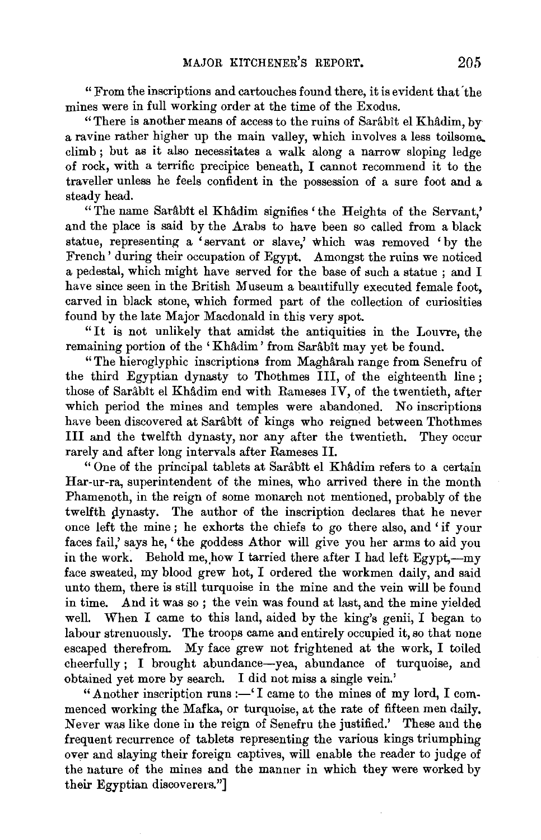" From the inscriptions and cartouches found there, it is evident that the mines were in full working order at the time of the Exodus.

"There is another means of access to the ruins of Sarabit el Khadim, by a ravine rather higher up the main valley, which involves a less toilsome.. climb ; but as it also necessitates a walk along a narrow sloping ledge of rock, with a terrific precipice beneath, I cannot recommend it to the traveller unless he feels confident in the possession of a sure foot and a steady head.

"The name Sarabit el Khadim signifies 'the Heights of the Servant,' and the place is said by the Arabs to have been so called from a black statue, representing a 'servant or slave,' which was removed 'by the French' during their occupation of Egypt. Amongst the ruins we noticed a pedestal, which might have served for the base of such a statue ; and I have since seen in the British Museum a beautifully executed female foot, carved in black stone, which formed part of the collection of curiosities found by the late Major Macdonald in this very spot.

"It is not unlikely that amidst the antiquities in the Louvre, the remaining portion of the 'Khadim' from Sarabit may yet be found.

"The hieroglyphic inscriptions from Magharah range from Senefru of the third Egyptian dynasty to Thothmes Ill, of the eighteenth line ; those of Sarabit el Khadim end with Rameses IV, of the twentieth, after which period the mines and temples were abandoned. No inscriptions have been discovered at Sarabit of kings who reigned between Thothmes Ill and the twelfth dynasty, nor any after the twentieth. They occur rarely and after long intervals after Rameses 11.

"One of the principal tablets at Sarabtt el Khadim refers to. a certain Har-ur-ra, superintendent of the mines, who arrived there in the month Phamenoth, in the reign of some monarch not mentioned, probably of the twelfth dynasty. The author of the inscription declares that he never once left the mine ; he exhorts the chiefs to go there also, and ' if your faces fail,' says he, ' the goddess Athor will give you her arms to aid you in the work. Behold me, how I tarried there after I had left Egypt,---my face sweated, my blood grew hot, I ordered the workmen daily, and said unto them, there is still turquoise in the mine and the vein will be found in time. And it was so; the vein was found at last, and the mine yielded well. When I came to this land, aided by the king's genii, I began to labour strenuously. The troops came and entirely occupied it, so that none escaped therefrom. My face grew not frightened at the work, I toiled cheerfully ; I brought abundance-yea, abundance of turquoise, and obtained yet more by search. I did not miss a single vein.'

"Another inscription runs : $-$ 'I came to the mines of my lord, I commenced working the Mafka, or turquoise, at the rate of fifteen men daily. Never was like done iu the reign of Senefru the justified.' These and the frequent recurrence of tablets representing the various kings triumphing over and slaying their foreign captives, will enable the reader to judge of the nature of the mines and the manner in which they were worked by their Egyptian discoverers.'']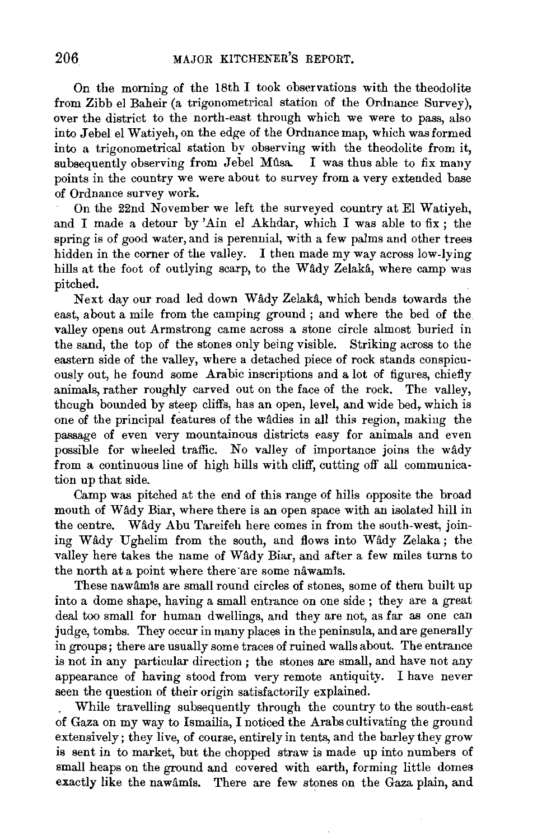On the morning of the 18th I took observations with the theodolite from Zibb el Baheir (a trigonometrical station of the Ordnance Survey), over the district to the north-east through which we were to pass, also into Jebel el Watiyeh, on the edge of the Ordnance map, which was formed into a trigonometrical station by observing with the theodolite from it, subsequently observing from Jebel Mûsa. I was thus able to fix many points in the country we were about to survey from a very extended base of Ordnance survey work.

On the 22nd November we left the surveyed country at El Watiyeh, and I made a detour by 'Ain el Akhdar, which I was able to  $fix$ ; the spring is of good water, and is perennial, with a few palms and other trees hidden in the corner of the valley. I then made my way across low-lying hills at the foot of outlying scarp, to the Wady Zelaka, where camp was pitched.

Next day our road led down Wady Zelaka, which bends towards the east, about a mile from the camping- ground ; and where the bed of the valley opens out Armstrong came across a stone circle almost buried in the sand, the top of the stones only being visible. Striking across to the eastern side of the valley, where a detached piece of rock stands conspicuously out, he found some Arabic inscriptions and a lot of figures, chiefly animals, rather roughly carved out on the face of the rock. The valley, though bounded by steep cliffs, has an open, level, and wide bed, which is one of the principal features of the wadies in all this region, making the passage of even very mountainous districts easy for animals and even possible for wheeled traffic. No valley of importance joins the wady from a continuous line of high hills with cliff, cutting off all communication up that side.

Camp was pitched at the end of this range of hills opposite the broad mouth of Wady Biar, where there is an open space with an isolated hill in the centre. Wady Abu Tareifeh here comes in from the south-west, joining Wady Ughelim from the south, and flows into Wady Zelaka; the valley here takes the name of Wady Biar, and after a few miles turns to the north at a point where there are some nawamis.

These nawamis are small round circles of stones, some of them built up into a dome shape, having a small entrance on one side ; they are a great deal too small for human dwellings, and they are not, as far as one can judge, tombs. They occur in many places in the peninsula, and are generally in groups; there are usually some traces of ruined walls about. The entrance is not in any particular direction ; the stones are small, and have not any appearance of having stood from very remote antiquity. I have never seen the question of their origin satisfactorily explained.

While travelling subsequently through the country to the south-east of Gaza on my way to Ismailia, I noticed the Arabs cultivating the ground extensively; they live, of course, entirely in tents, and the barley they grow is sent in to market, but the chopped straw is made up into numbers of small heaps on the ground and covered with earth, forming little domes exactly like the nawamis. There are few stones on the Gaza plain, and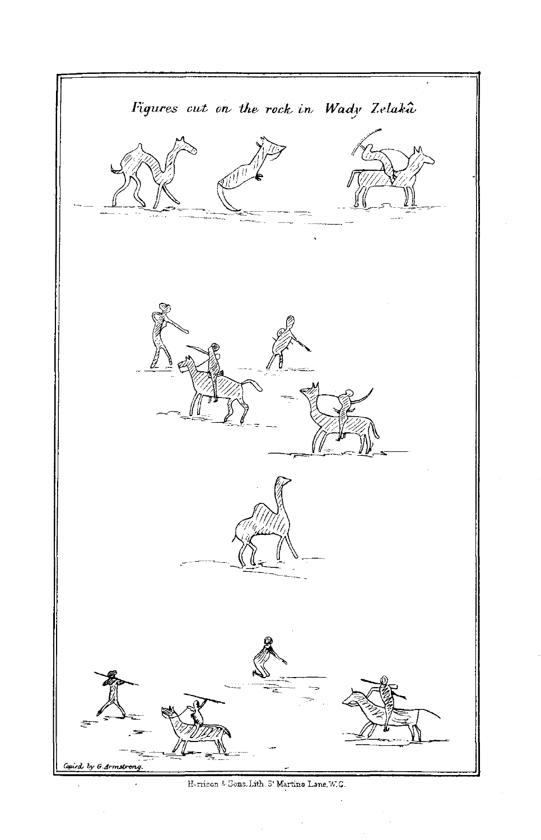

Harrison & Sons. Lith. S' Martine Lane, W.C.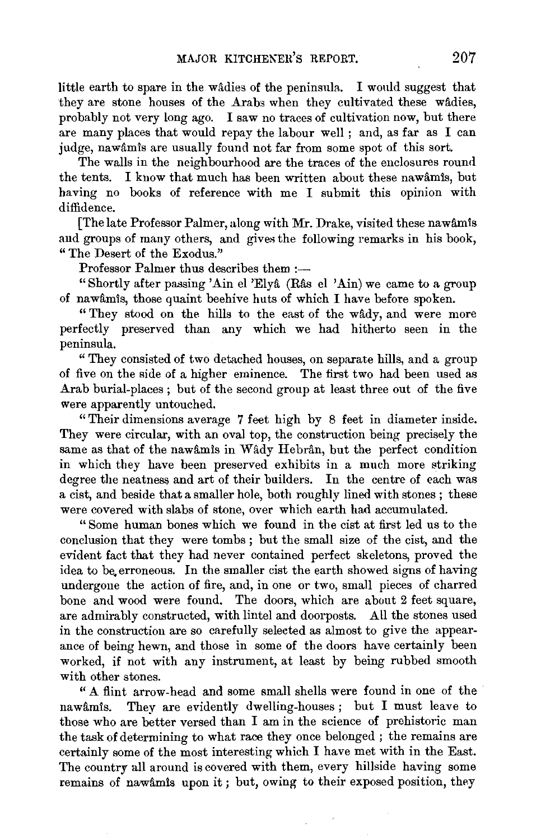little earth to spare in the wadies of the peninsula.. I would suggest that they are stone houses of the Arabs when they cultivated these wadies, probably not very long ago. I saw no traces of cultivation now, but there are many places that would repay the labour well ; and, as far as I can judge, nawamis are usually found not far from some spot of this sort.

The walls in the neighbourhood are the traces of the enclosures round the tents. I know that much has been written about these nawamis, but having no books of reference with me I submit this opinion with diffidence.

[The late Professor Palmer, along with Mr. Drake, visited these nawamis and groups of many others, and gives the following remarks in his book, " The Desert of the Exodus."

Professor Palmer thus describes them :-

"Shortly after passing 'Ain el 'Elyâ (Râs el 'Ain) we came to a group of nawamis, those quaint beehive huts of which I have before spoken.

"They stood on the hills to the east of the wady, and were more perfectly preserved than any which we had hitherto seen in the peninsula.

" They consisted of two detached houses, on separate hills, and a group of five on the side of a higher eminence. The first two had been used as Arab burial-places ; but of the second group at least three out of the five were apparently untouched.

"Their dimensions average 7 feet high by 8 feet in diameter inside. They were circular, with an oval top, the construction being precisely the same as that of the nawâmis in Wâdy Hebrân, but the perfect condition in which they have been preserved exhibits in a much more striking degree the neatness and art of their builders. In the centre of each was a cist, and beside that a smaller hole, both roughly lined with stones ; these were covered with slabs of stone, over which earth had accumulated.

"Some human bones which we found in the cist at first led us to the conclusion that they were tombs ; but the small size of the cist, and the evident fact that they had never contained perfect skeletons, proved the idea to be. erroneous. In the smaller cist the earth showed signs of having undergone the action of fire, and, in one or two, small pieces of charred bone and wood were found. The doors, which are about 2 feet square, are admirably constructed, with lintel and doorposts. All the stones used in the construction are so carefully selected as almost to give the appearance of being hewn, and those in some of the doors have certainly been worked, if not with any instrument, at least by being rubbed smooth with other stones.

"A flint arrow-head and some small shells were found in one of the nawamis. They are evidently dwelling-houses ; but I must leave to those who are better versed than I am in the science of prehistoric man the task of determining to what race they once belonged ; the remains are certainly some of the most interesting which I have met with in the East. The country all around is covered with them, every hillside having some remains of nawâmîs upon it; but, owing to their exposed position, they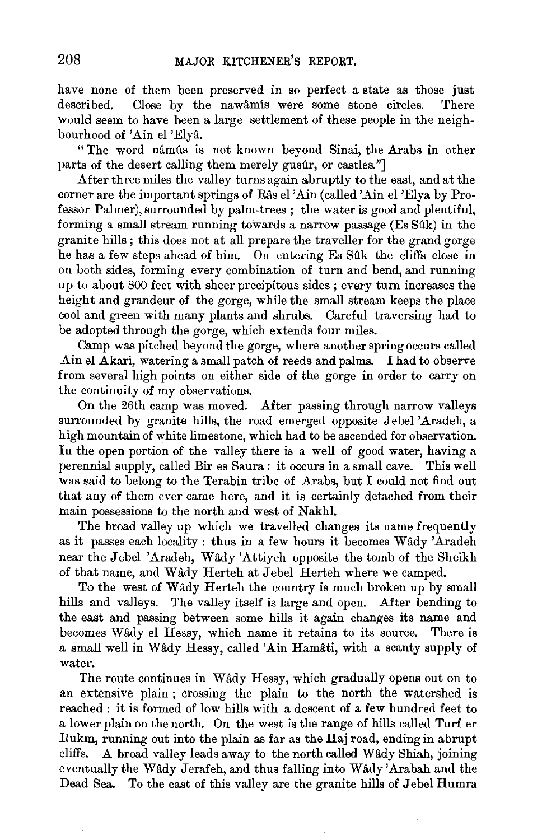have none of them been preserved in so perfect a state as those just described. Close by the nawâmîs were some stone circles. There would seem to have been a large settlement of these people in the neighbourhood of 'Ain el 'Elyâ.

"The word nâmûs is not known beyond Sinai, the Arabs in other parts of the desert calling them merely gusûr, or castles."]

After three miles the valley turns again abruptly to the east, and at the corner are the important springs of Ras el 'Ain (called 'Ain el 'Elya by Professor Palmer), surrounded by palm-trees; the water is good and plentiful, forming a small stream running towards a narrow passage (Es Silk) in the granite hills; this does not at all prepare the traveller for the grand gorge he has a few steps ahead of him. On entering Es Silk the cliffs close in on both sides, forming every combination of turn and bend, and running up to about 800 feet with sheer precipitous sides ; every turn increases the height and grandeur of the gorge, while the small stream keeps the place cool and green with many plants and shrubs. Careful traversing had to be adopted through the gorge, which extends four miles.

Camp was pitched beyond the gorge, where another spring occurs called Ain el Akari, watering a small patch of reeds and palms. I had to observe from several high points on either side of the gorge in order to carry on the continuity of my observations.

On the 26th camp was moved. After passing through narrow valleys surrounded by granite hills, the road emerged opposite Jebel 'Aradeh, a high mountain of white limestone, which had to be ascended for observation. In the open portion of the valley there is a well of good water, having a perennial supply, called Bir es Saura: it occurs in a small cave. This well was said to belong to the Terabin tribe of Arabs, but I could not find out that any of them ever came here, and it is certainly detached from their main possessions to the north and west of Nakhl.

The broad valley up which we travelled changes its name frequently as it passes each locality: thus in a few hours it becomes Wady 'Aradeh near the Jebel 'Aradeh, Wâdy 'Attiyeh opposite the tomb of the Sheikh of that name, and Wâdy Herteh at Jebel Herteh where we camped.

To the west of Wady Herteh the country is much broken up by small hills and valleys. The valley itself is large and open. After bending to the east and passing between some hills it again changes its name and becomes Wâdy el Hessy, which name it retains to its source. There is a small well in Wady Hessy, called 'Ain Hamati, with a scanty supply of water.

The route continues in Wady Hessy, which gradually opens out on to an extensive plain ; crossing the plain to the north the watershed is reached : it is fonned of low hills with a descent of a few hundred feet to a lower plain on the north. On the west is the range of hills called Turf er Rukm, running out into the plain as far as the Haj road, ending in abrupt cliffs. A broad valley leads away to the north called Wady Shiah, joining eventually the Wâdy Jerafeh, and thus falling into Wâdy 'Arabah and the Dead Sea. To the east of this valley are the granite hills of Jebel Humra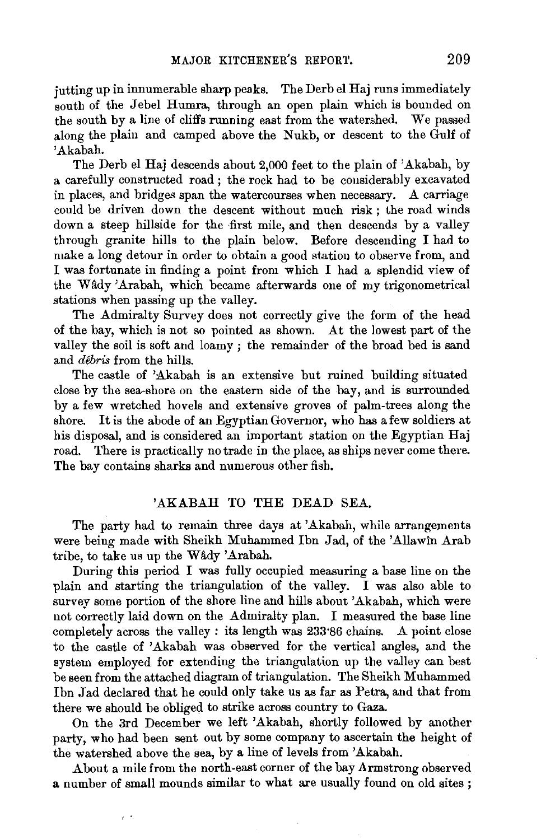jutting up in innumerable sharp peaks. The Derb el Haj runs immediately south of the Jebel Humra, through an open plain which is bounded on the south by a line of cliffs running east from the watershed. We passed along the plain and camped above the Nukb, or descent to the Gulf of 'Akabah.

The Derb el Haj descends about 2,000 feet to the plain of 'Akabah, by a carefully constructed road; the rock had to be considerably excavated in places, and bridges span the watercourses when necessary. A carriage could be driven down the descent without much risk ; Lhe road winds down a steep hillside for the first mile, and then descends by a valley through granite hills to the plain below. Before descending I had to make a long detour in order to obtain a good station to observe from, and I was fortunate in finding a point from which I had a splendid view of the Wady 'Arabah, which became afterwards one of my trigonometrical stations when passing up the valley.

The Admiralty Survey does not correctly give the form of the head of the bay, which is not so pointed as shown. At the lowest part of the valley the soil is soft and loamy ; the remainder of the broad bed is sand and *debris* from the hills.

The castle of 'Akabah is an extensive but ruined building situated close by the sea-shore on the eastern side of the bay, and is surrounded by a few wretched hovels and extensive groves of palm-trees along the shore. It is the abode of an Egyptian Governor, who has a few soldiers at his disposal, and is considered an important station on the Egyptian Haj road. There is practically no trade in the place, as ships never come there. The bay contains sharks and numerous other fish.

## 'AKABAH TO THE DEAD SEA.

The party had to remain three days at 'Akabah, while arrangements were being made with Sheikh Muhammed Ibn Jad, of the 'Allawin Arab tribe, to take us up the Wâdy 'Arabah.

During this period I was fully occupied measuring a base line on the plain and starting the triangulation of the valley. I was also able to survey some portion of the shore line and hills about 'Akabah, which were not correctly laid down on the Admiralty plan. I measured the base line completely across the valley *:* its length was 233'86 chains. A point close to the castle of 'Akabah was observed for the vertical angles, and the system employed for extending the triangulation up the valley can best be seen from the attached diagram of triangulation. The Sheikh Muhammed Ibn Jad declared that he could only take us as far as Petra, and that from there we should be obliged to strike across country to Gaza.

On the 3rd December we left 'Akabah, shortly followed by another party, who had been sent out by some company to ascertain the height of the watershed above the sea, by a line of levels from 'Akabah.

About a mile from the north-east corner of the bay Armstrong observed a number of small mounds similar to what are usually found on old sites ;

 $\epsilon$ .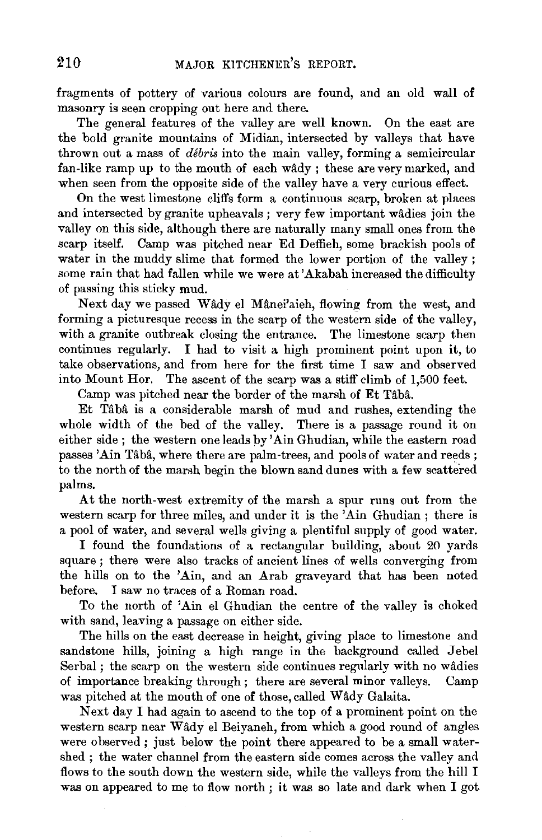fragments of pottery of various colours are found, and an old wall of masonry is seen cropping out here and there.

The general features of the valley are well known. On the east are the bold granite mountains of Midian, intersected by valleys that have thrown out a mass of *debris* into the main valley, forming a semicircular fan-like ramp up to the mouth of each wady; these are very marked, and when seen from the opposite side of the valley have a very curious effect.

On the west limestone cliffs form a continuous scarp, broken at places and intersected by granite upheavals ; very few important wadies join the valley on this side, although there are naturally many small ones from the scarp itself. Camp was pitched near Ed Deffieh, some brackish pools of water in the muddy slime that formed the lower portion of the valley; some rain that had fallen while we were at 'Akabah increased the difficulty of passing this sticky mud.

Next day we passed Wady el Manei'aieh, flowing from the west, and forming a picturesque recess in the scarp of the western side of the valley, with a granite outbreak closing the entrance. The limestone scarp then continues regularly. I had to visit a high prominent point upon it, to take observations, and from here for the first time I saw and observed into Mount Hor. The ascent of the scarp was a stiff climb of 1,500 feet.

Camp was pitched near the border of the marsh of Et Taba.

Et Taba is a considerable marsh of mud and rushes, extending the whole width of the bed of the valley. There is a passage round it on either side ; the western one leads by' Ain Ghudian, while the eastern road passes 'Ain Tâbâ, where there are palm-trees, and pools of water and reeds; to the north of the marsh begin the blown sand dunes with a few scattered palms.

At the north-west extremity of the marsh a spur runs out from the western scarp for three miles, and under it is the 'Ain Ghudian; there is a pool of water, and several wells giving a plentiful supply of good water.

I found the foundations of a rectangular building, about 20 yards square; there were also tracks of ancient lines of wells converging from the hills on to the 'Ain, and an Arab graveyard that has been noted before. I saw no traces of a Roman road.

To the north of 'Ain el Ghudian the centre of the valley is choked with sand, leaving a passage on either side.

The hills on the east decrease in height, giving place to limestone and sandstone hills, joining a high range in the background called Jebel Serbal ; the scarp on the western side continues regularly with no wâdies of importance breaking through; there are several minor valleys. Camp was pitched at the mouth of one of those, called Wady Galaita.

Next day I had again to ascend to the top of a prominent point on the western scarp near Wady el Beiyaneh, from which a good round of angles were observed; just below the point there appeared to be a small watershed ; the water channel from the eastern side comes across the valley and flows to the south down the western side, while the valleys from the hill I was on appeared to me to flow north ; it was so late and dark when I got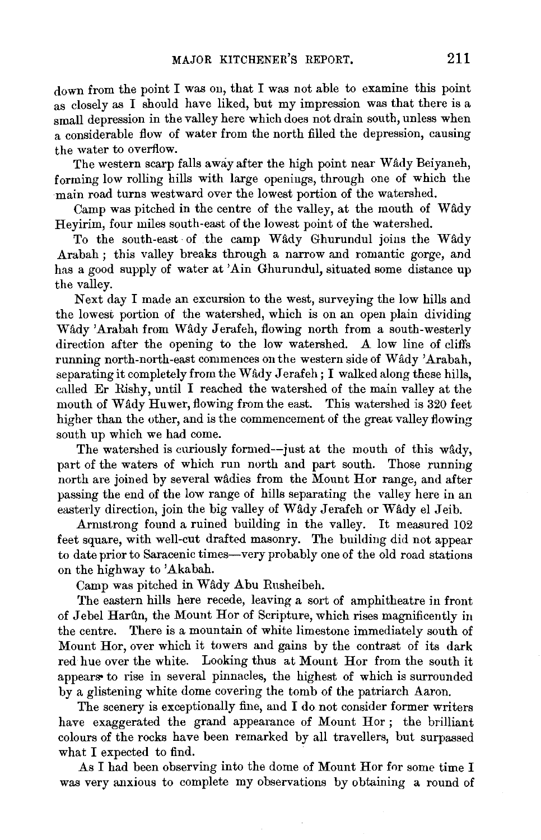down from the point I was on, that I was not able to examine this point as closely as I should have liked, but my impression was that there is a small depression in the valley here which does not drain south, unless when a considerable flow of water from the north filled the depression, causing the water to overflow.

The western scarp falls away after the high point near Wady Beiyaneh, forming low rolling hills with large openings, through one of which the main road turns westward over the lowest portion of the watershed.

Camp was pitched in the centre of the valley, at the mouth of Wady Heyirim, four miles south-east of the lowest point of the watershed.

To the south-east· of .the camp Wady Ghurundul joins the Wady .Arabah ; this valley breaks through a narrow and romantic gorge, and has a good supply of water at 'Ain Ghurundul, situated some distance up the valley.

Next day I made an excursion to the west, surveying the low hills and the lowest portion of the watershed, which is on an open plain dividing Wâdy 'Arabah from Wâdy Jerafeh, flowing north from a south-westerly direction after the opening to the low watershed. A low line of cliffs running north-north-east commences on the western side of Wâdy 'Arabah, separating it completely from the Wady Jerafeh; I walked along these hills, called Er Rishy, until I reached the watershed of the main valley at the mouth of Wady Huwer, flowing from the east. This watershed is 320 feet higher than the other, and is the commencement of the great valley flowing south up which we had come.

The watershed is curiously formed--just at the mouth of this wady, part of the waters of which run north and part south. Those running north are joined by several wadies from the Mount Hor range, and after passing the end of the low range of hills separating the valley here in an easterly direction, join the big valley of Wâdy Jerafeh or Wâdy el Jeib.

.Armsirong found a ruined building in the valley. It measured 102 feet square, with well-cut drafted masonry. The building did not appear to date prior to Saracenic times-very probably one of the old road stations on the highway to 'Akabah.

Camp was pitched in Wâdy Abu Rusheibeh.

The eastern hills here recede, leaving a sort of amphitheatre in front of Jebel Harûn, the Mount Hor of Scripture, which rises magnificently in the centre. There is a mountain of white limestone immediately south of Mount Hor, over which it towers and gains by the contrast of its dark red hue over the white. Looking thus at Mount Hor from the south it appears- to rise in several pinnacles, the highest of which is surrounded by a glistening white dome covering the tomb of the patriarch Aaron.

The scenery is exceptionally fine, and I do not consider former writers have exaggerated the grand appearance of Mount Hor ; the brilliant colours of the rocks have been remarked by all travellers, but surpassed what I expected to find.

As I had been observing into the dome of Mount Hor for some time I was very anxious to complete my observations by obtaining a round of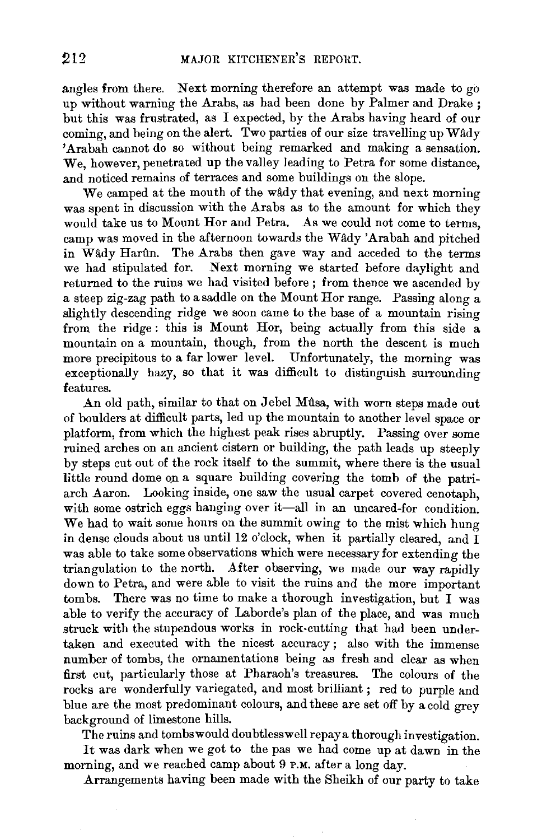angles from there. Next morning therefore an attempt was made to go up without warning the Arabs, as had been done by Palmer and Drake ; but this was frustrated, as I expected, by the Arabs having heard of our coming, and being on the alert. Two parties of our size travelling up Wady 'Arabah cannot do so without being remarked and making a sensation. We, however, penetrated up the valley leading to Petra for some distance, and noticed remains of terraces and some buildings on the slope.

We camped at the mouth of the wâdy that evening, and next morning was spent in discussion with the Arabs as to the amount for which they would take us to Mount Hor and Petra. As we could not come to terms, camp was moved in the afternoon towards the Wady 'Arabah and pitched in Wady Harûn. The Arabs then gave way and acceded to the terms we had stipulated for. Next morning we started before daylight and returned to the ruins we had visited before ; from thence we ascended by a steep zig-zag path to a saddle on the Mount Hor range. Passing along a slightly descending ridge we soon came to the base of a mountain rising from the ridge : this is Mount Hor, being actually from this side a mountain on a mountain, though, from the north the descent is much more precipitous to a far lower level. Unfortunately, the morning was exceptionally hazy, so that it was difficult to distinguish surrounding features.

An old path, similar to that on Jebel Mûsa, with worn steps made out of boulders at difficult parts, led up the mountain to another level space or platform, from which the highest peak rises abruptly. Passing over some ruined arches on an ancient cistern or building, the path leads up steeply by steps cut out of the rock itself to the summit, where there is the usual little round dome on a square building covering the tomb of the patriarch Aaron. Looking inside, one saw the usual carpet covered cenotaph, with some ostrich eggs hanging over it-all in an uncared-for condition. We had to wait some hours on the summit owing to the mist which hung in dense clouds about us until 12 o'clock, when it partially cleared, and  $\check{\text{I}}$ was able to take some observations which were necessary for extending the triangulation to the north. After observing, we made our way rapidly down to Petra, and were able to visit the ruins and the more important tombs. There was no time to make a thorough investigation, but I was able to verify the accuracy of Laborde's plan of the place, and was much struck with the stupendous works in rock-cutting that had been undertaken and executed with the nicest accuracy; also with the immense number of tombs, the ornamentations being as fresh and clear as when first cut, particularly those at Pharaoh's treasures. The colours of the rocks are wonderfully variegated, and most brilliant ; red to purple and blue are the most predominant colours, and these are set off by a cold grey background of limestone hills.

The ruins and tombs would doubtless well repay a thorough investigation.

It was dark when we got to the pas we had come up at dawn in the morning, and we reached camp about 9 P.M. after a long day.

Arrangements having been made with the Sheikh of our party to take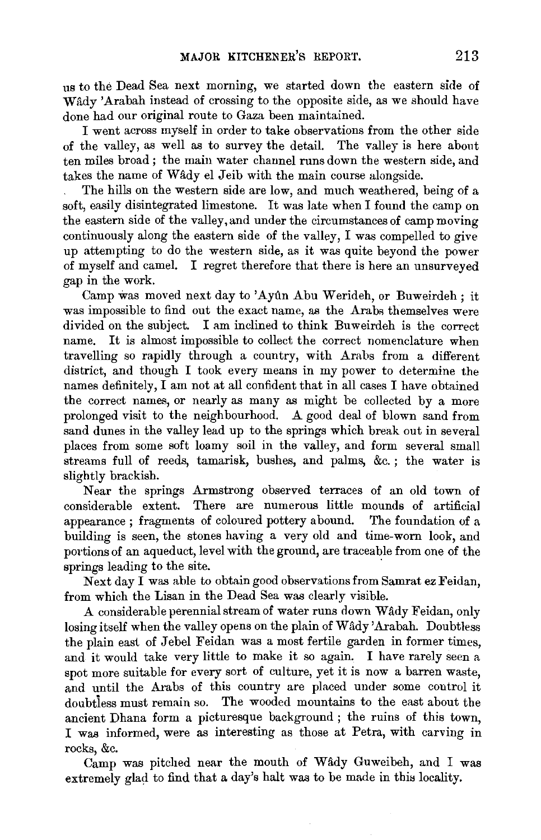us to the Dead Sea next morning, we started down the eastern side of Wady 'Arabah instead of crossing to the opposite side, as we should have done had our original route to Gaza been maintained.

I went across myself in order to take observations from the other side of the valley, as well as to survey the detail. The valley is here about ten miles broad ; the main water channel runs down the western side, and takes the name of Wâdy el Jeib with the main course alongside.

The hills on the western side are low, and much weathered, being of a soft, easily disintegrated limestone. It was late when I found the camp on the eastern side of the valley, and under the circumstances of camp moving continuously along the eastern side of the valley, I was compelled to give up attempting to do the western side, as it was quite beyond the power of myself and camel. I regret therefore that there is here an unsurveyed gap in the work.

Camp was moved next day to 'Ayûn Abu Werideh, or Buweirdeh; it was impossible to find out the exact name, as the Arabs themselves were divided on the subject. I am inclined to think Buweirdeh is the correct name. It is almost impossible to collect the correct nomenclature when travelling so rapidly through a country, with Arabs from a different district, and though I took every means in my power to determine the names definitely, I am not at all confident that in all cases I have obtained the correct names, or nearly as many as might be collected by a more prolonged visit to the neighbourhood. A good deal of blown sand from sand dunes in the valley lead up to the springs which break out in several places from some soft loamy soil in the valley, and form several small streams full of reeds, tamarisk, bushes, and palms, &c. ; the water is slightly brackish.

Near the springs Armstrong observed terraces of an old town of considerable extent. There are numerous little mounds of artificial appearance ; fragments of coloured pottery abound. The foundation of a building is seen, the stones having a very old and time-worn look, and portions of an aqueduct, level with the ground, are traceable from one of the springs leading to the site.

Next day I was able to obtain good observations from Samrat ez Feidan, from which the Lisan in the Dead Sea was clearly visible.

A considerable perennial stream of water runs down Wady Feidan, only losing itself when the valley opens on the plain of Wady 'Arabah. Doubtless the plain east of Jebel Feidan was a most fertile garden in former times, and it would take very little to make it so again. I have rarely seen a spot more suitable for every sort of culture, yet it is now a barren waste, and until the Arabs of this country are placed under some control it doubtiess must remain so. The wooded mountains to the east about the ancient Dhana form a picturesque background ; the ruins of this town, I was informed, were as interesting as those at Petra, with carving in rocks, &c.

Camp was pitched near the mouth of Wady Guweibeh, and I was extremely glad to find that a day's halt was to be made in this locality.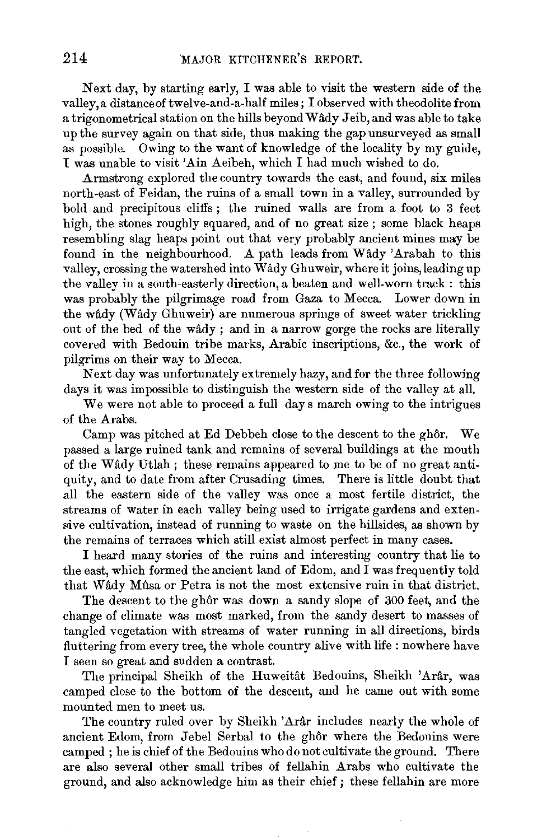Next day, by starting early, I was able to visit the western side of the valley,a distance of twelve-and-a-half miles; I observed with theodolite from a trigonometrical station on the hills beyond Wâdy Jeib, and was able to take up the survey again on that side, thus making the gap unsurveyed as small as possible. Owing to the want of knowledge of the locality by my guide, I was unable to visit 'Ain Aeibeh, which I had much wished to do.

Armstrong explored the country towards the east, and found, six miles north-east of Feidan, the ruins of a small town in a valley, surrounded by bold and precipitous cliffs ; the ruined walls are from a foot to 3 feet high, the stones roughly squared, and of no great size ; some black heaps resembling slag heaps point out that very probably ancient mines may be found in the neighbourhood. A path leads from Wâdy 'Arabah to this valley, crossing the watershed into Wady Ghuweir, where it joins, leading up the valley in a south-easterly direction, a beaten and well-worn track : this was probably the pilgrimage road from Gaza to Mecca. Lower down in the wâdy (Wâdy Ghuweir) are numerous springs of sweet water trickling out of the bed of the wâdy; and in a narrow gorge the rocks are literally covered with Bedouin tribe marks, Arabic inscriptions, &c., the work of pilgrims on their way to Mecca.

Next day was unfortunately extremely hazy, and for the three following days it was impossible to distinguish the western side of the valley at all.

We were not able to proceed a full days march owing to the intrigues of the Arabs.

Camp was pitched at Ed Debbeh close to the descent to the ghôr. We passed a large ruined tank and remains of several buildings at the mouth of the Wâdy Utlah; these remains appeared to me to be of no great antiquity, and to date from after Crusading times. There is little doubt that all the eastern side of the valley was once a most fertile district, the streams of water in each valley being used to irrigate gardens and extensive cultivation, instead of running to waste on the hillsides, as shown by the remains of terraces which still exist almost perfect in many cases.

I heard many stories of the ruins and interesting country that lie to the east, which formed the ancient land of Edom, and I was frequently told that Wâdy Mûsa or Petra is not the most extensive ruin in that district.

The descent to the ghôr was down a sandy slope of 300 feet, and the change of climate was most marked, from the sandy desert to masses of tangled vegetation with streams of water running in all directions, birds fluttering from every tree, the whole country alive with life : nowhere have I seen so great and sudden a contrast.

The principal Sheikh of the Huweitat Bedouins, Sheikh 'Arar, was camped close to the bottom of the descent, and he came out with some mounted men to meet us.

The country ruled over by Sheikh 'Arar includes nearly the whole of ancient Edom, from Jebel Serbal to the ghôr where the Bedouins were camped ; he is chief of the Bedouins who do not cultivate the ground. There are also several other small tribes of fellahin Arabs who cultivate the ground, and also acknowledge him as their chief; these fellahin are more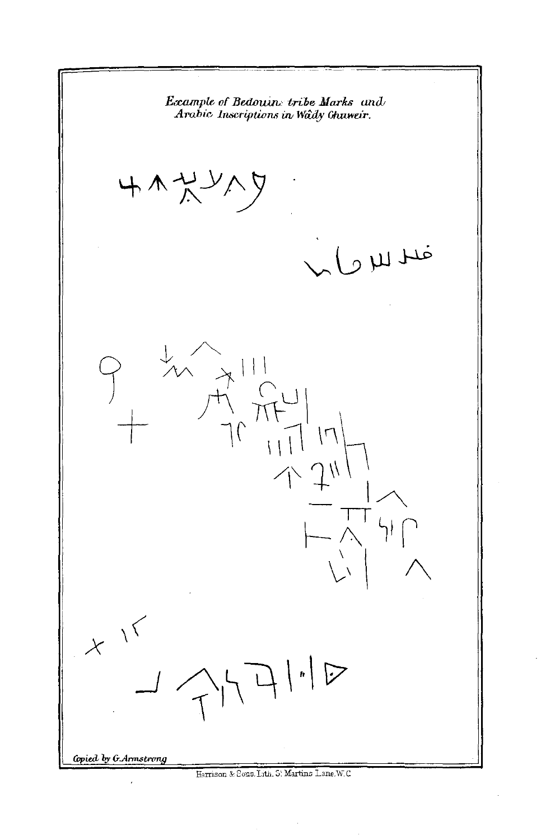

Harrison & Sons. Lith, S. Martins Lane, W.C.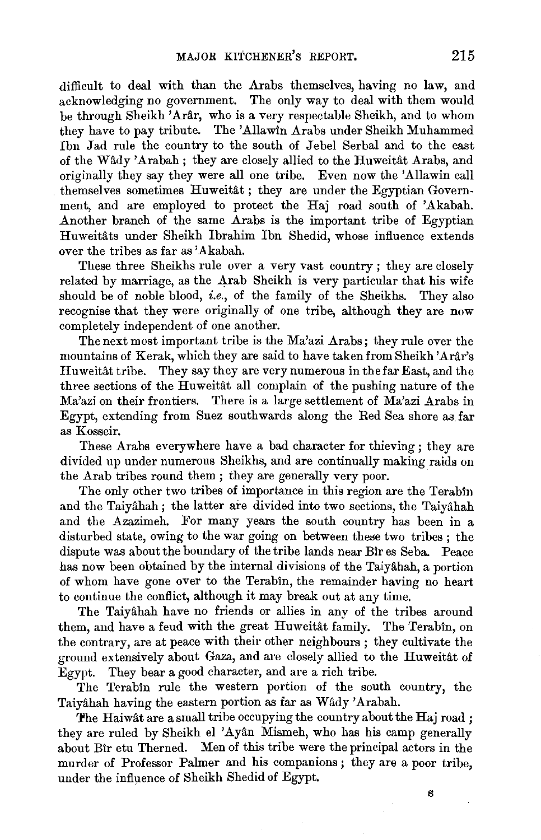difficult to deal with than the Arabs themselves, having no law, and acknowledging no government. The only way to deal with them would be through Sheikh 'Arâr, who is a very respectable Sheikh, and to whom they have to pay tribute. The 'Allawin Arabs under Sheikh Muhammed Ibn Jad rule the country to the south of Jebel Serbal and to the east of the Wâdy 'Arabah; they are closely allied to the Huweitât Arabs, and originally they say they were all one tribe. Even now the 'Allawin call themselves sometimes Huweitât; they are under the Egyptian Government, and are employed to protect the Haj road south of 'Akabah. Another branch of the same Arabs is the important tribe of Egyptian Huweitats under Sheikh Ibrahim Ibn Shedid, whose influence extends over the tribes as far as 'Akabah.

These three Sheikhs rule over a very vast country ; they are closely related by marriage, as the Arab Sheikh is very particular that his wife should be of noble blood, *i.e.,* of the family of the Sheikhs. They also recognise that they were originally of one tribe, although they are now completely independent of one another.

The next most important tribe is the Ma'azi Arabs; they rule over the mountains of Kerak, which they are said to have taken from Sheikh 'Arâr's Huweit at tribe. They say they are very numerous in the far East, and the three sections of the Huweitat all complain of the pushing nature of the Ma'azi on their frontiers. There is a large settlement of Ma'azi Arabs in Egypt, extending from Suez southwards along the Red Sea shore as far as Kosseir.

These Arabs everywhere have a bad character for thieving : they are divided up under numerous Sheikhs, and are continually making raids on the Arab tribes round them; they are generally very poor.

The only other two tribes of importance in this region are the Terabin and the Taiy&hah ; the latter are divided into two sections, the Taiyahah and the Azazimeh. For many years the south country has been in a disturbed state, owing to the war going on between these two tribes ; the dispute was about the boundary of the tribe lands near Bir es Seba. Peace has now been obtained by the internal divisions of the Taiy&hah, a portion of whom have gone over to the Terabîn, the remainder having no heart to continue the conflict, although it may break out at any time.

The Taiyahah have no friends or allies in any of the tribes around them, and have a feud with the great Huweitat family. The Terabin, on the contrary, are at peace with their other neighbours; they cultivate the ground extensively about Gaza, and are closely allied to the Huweitat of Egypt. They bear a good character, and are a rich tribe.

The Terabîn rule the western portion of the south country, the Taiyahah having the eastern portion as far as Wady 'Arabah.

The Haiwat are a small tribe occupying the country about the Haj road ; they are ruled by Sheikh el 'Ayân Mismeh, who has his camp generally about Bir etu Therned. Men of this tribe were the principal actors in the murder of Professor Palmer and his companions ; they are a poor tribe, under the influence of Sheikh Shedid of Egypt.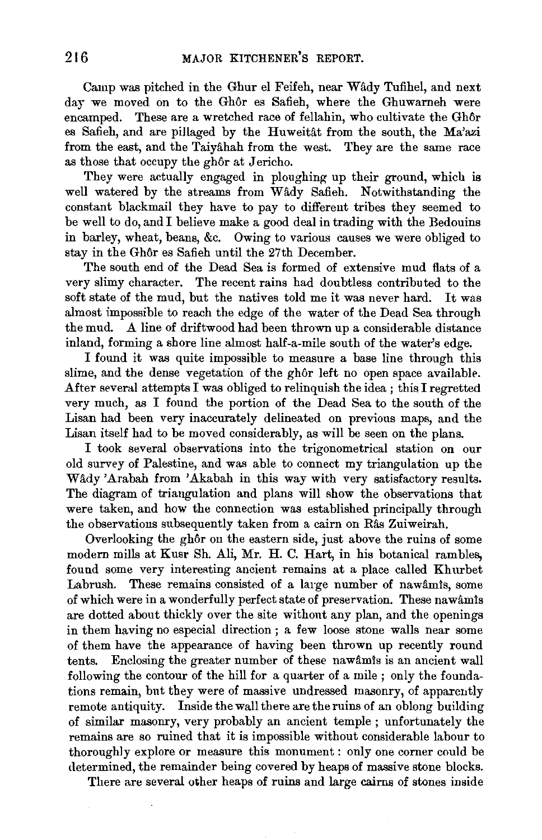Camp was pitched in the Ghur el Feifeh, near Wady Tufihel, and next day we moved on to the Ghôr es Safieh, where the Ghuwarneh were encamped. These are a wretched race of fellahin, who cultivate the Gh6r es Safieh, and are pillaged by the Huweitat from the south, the Ma'azi from the east, and the Taiyahah from the west. They are the same race as those that occupy the gh6r at Jericho.

They were actually engaged in ploughing up their ground, which is well watered by the streams from Wâdy Safieh. Notwithstanding the constant blackmail they have to pay to different tribes they seemed to be well to do, and I believe make a good deal in trading with the Bedouins in barley, wheat, beans, &c. Owing to various causes we were obliged to stay in the Ghôr es Safieh until the 27th December.

The south end of the Dead Sea is formed of extensive mud flats of a very slimy character. The recent rains had doubtless contributed to the soft state of the mud, but the natives told me it was never hard. It was almost impossible to reach the edge of the water of the Dead Sea through the mud. A line of driftwood had been thrown up a considerable distance inland, forming a shore line almost half-a-mile south of the water's edge.

I found it was quite impossible to measure a base line through this slime, and the dense vegetation of the ghôr left no open space available. .After several attempts I was obliged to relinquish the idea; this I regretted very much, as I found the portion of the Dead Sea to the south of the Lisan had been very inaccurately delineated on previous maps, and the Lisan itself had to be moved considerably, as will be seen on the plans.

I took several observations into the trigonometrical station on our old survey of Palestine, and was able to connect my triangulation up the Wâdy 'Arabah from 'Akabah in this way with very satisfactory results. The diagram of triangulation and plans will show the observations that were taken, and how the connection was established principally through the observations subsequently taken from a cairn on Ras Zuiweirah.

Overlooking the gh6r on the eastern side, just above the ruins of some modern mills at Kusr Sh. Ali, Mr. H. C. Hart, in his botanical rambles, found some very interesting ancient remains at a place called Khurbet Labrush. These remains consisted of a large number of nawâmîs, some of which were in a wonderfully perfect state of preservation. These nawâmis are dotted about thickly over the site without any plan, and the openings in them having no especial direction; a few loose stone walls near some of them have the appearance of having been thrown up recently round tents. Enclosing the greater number of these nawâmîs is an ancient wall following the contour of the hill for a quarter of a mile ; only the foundations remain, but they were of massive undressed masonry, of apparently remote antiquity. Inside the wall there are the ruins of an oblong building of similar masonry, very probably an ancient temple ; unfortunately the remains are so ruined that it is impossible without considerable labour to thoroughly explore or measure this monument : only one corner could be determined, the remainder being covered by heaps of massive stone blocks.

There are several other heaps of ruins and large cairns of stones inside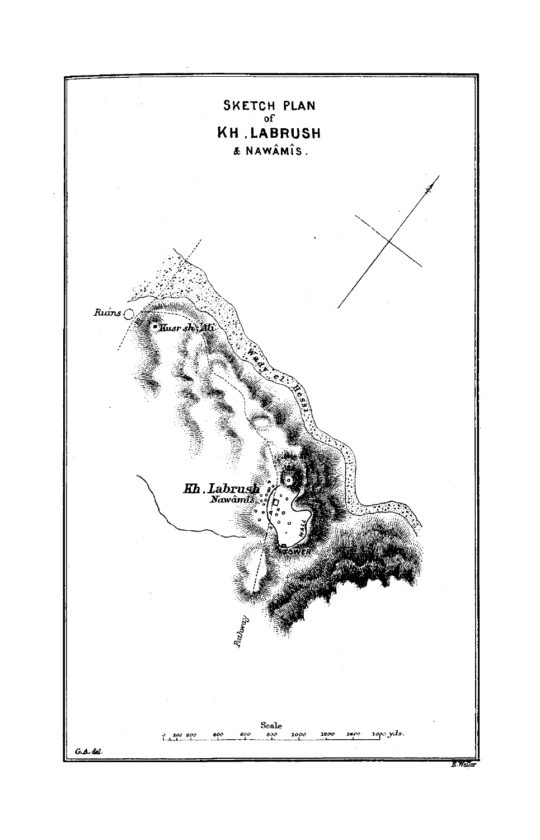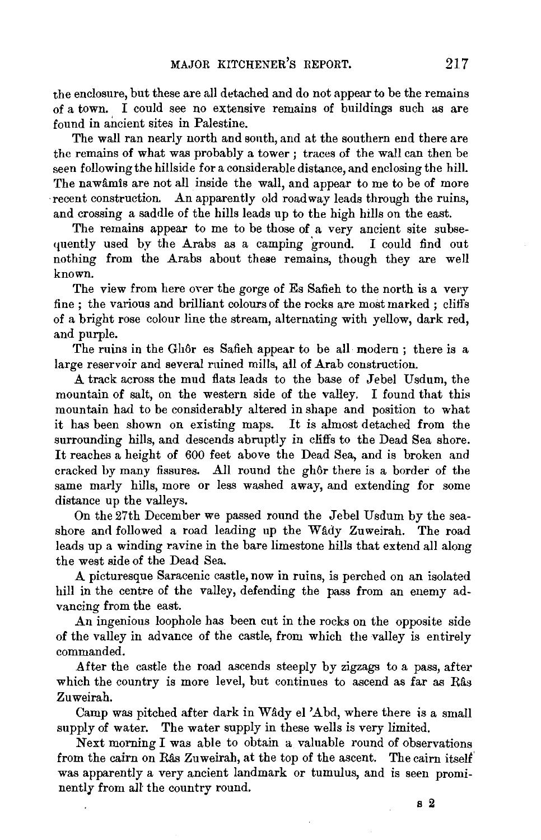the enclosure, but these are all detached and do not appear to be the remains of a town. I could see no extensive remains of buildings such as are found in ancient sites in Palestine.

The wall ran nearly north and south, and at the southern end there are the remains of what was probably a tower; traces of the wall can then be seen following the hillside for a considerable distance, and enclosing the hill. The nawamis are not all inside the wall, and appear to me to be of more recent construction. An apparently old roadway leads through the ruins, and crossing a saddle of the hills leads up to the high hills on the east.

The remains appear to me to be those of a very ancient site subsequently used by the Arabs as a camping ground. I could find out nothing from the Arabs about these remains, though they are well known.

The view from here over the gorge of Es Safieh to the north is a very fine ; the various and brilliant colours of the rocks are most marked ; cliffs of a bright rose colour line the stream, alternating with yellow, dark red, and purple.

The ruins in the Glior es Safieh appear to be all modern; there is a large reservoir and several ruined mills, all of Arab construction.

A track across the mud flats leads to the base of Jebel Usdum, the mountain of salt, on the western side of the valley. I found that this mountain had to be considerably altered in shape and position to what it has been shown on existing maps. It is almost detached from the surrounding hills, and descends abruptly in cliffs to the Dead Sea shore. It reaches a height of 600 feet above the Dead Sea, and is broken and cracked by many fissures. All round the ghôr there is a border of the same marly hills, more or less washed away, and extending for some distance up the valleys.

On the 27th December we passed round the Jebel Usdum by the seashore and followed a road leading up the Wady Zuweirah. The road leads up a winding ravine in the bare limestone hills that extend all along the west side of the Dead Sea.

A picturesque Saracenic castle, now in ruins, is perched on an isolated hill in the centre of the valley, defending the pass from an enemy advancing from the east.

An ingenious loophole has been cut in the rocks on the opposite side of the valley in advance of the castle, from which the valley is entirely commanded .

.After the castle the road ascends steeply by zigzags to a pass, after which the country is more level, but continues to ascend as far as  $R\hat{a}$ s Zuweirah.

Camp was pitched after dark in Wady el 'Abd, where there is a small supply of water. The water supply in these wells is very limited.

Next morning I was able to obtain a valuable round of observations from the cairn on Ras Zuweirah, at the top of the ascent. The cairn itself was apparently a very ancient landmark or tumulus, and is seen prominently from all the country round.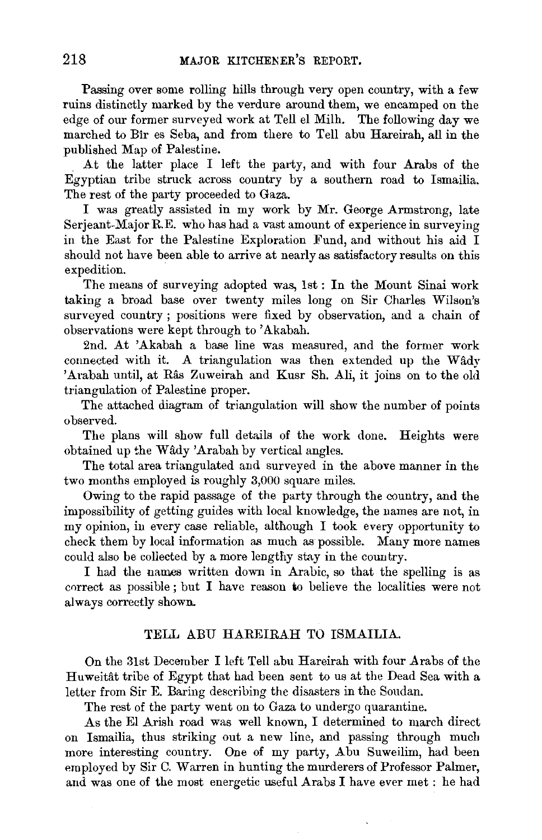Passing over some rolling hills through very open country, with a few ruins distinctly marked by the verdure around them, we encamped on the edge of our former surveyed work at Tell el Milh. The following day we marched to Bir es Seba, and from there to Tell abu Hareirah, all in the published Map of Palestine.

At the latter place I left the party, and with four Arabs of the Egyptian tribe struck across country by a southern road to Ismailia. The rest of the party proceeded to Gaza.

I was greatly assisted in my work by Mr. George Armstrong, late Serjeant-Major R.E. who has had a vast amount of experience in surveying in the East for the Palestine Exploration Fund, and without his aid I should not have been able to arrive at nearly as satisfactory results on this expedition.

The means of surveying adopted was, 1st : In the Mount Sinai work taking a broad base over twenty miles long on Sir Charles Wilson's surveyed country ; positions were fixed by observation, and a chain of observations were kept through to 'Akabah.

2nd. At 'Akabah a base line was measured, and the former work connected with it. A triangulation was then extended up the Wady 'Arabah until, at Râs Zuweirah and Kusr Sh. Ali, it joins on to the old triangulation of Palestine proper.

The attached diagram of triangulation will show the number of points observed.

The plans will show full details of the work done. Heights were obtained up the Wady 'Arabah by vertical angles.

The total area triangulated and surveyed in the above manner in the two months employed is roughly 3,000 square miles.

Owing to the rapid passage of the party through the country, and the impossibility of getting guides with local knowledge, the names are not, in my opinion, in every case reliable, although I took every opportunity to check them by local information as much as possible. Many more names could also be collected by a more lengthy stay in the country.

I had the names written down in Arabic, so that the spelling is as correct as possible ; but I have reason *io* believe the localities were not always correctly shown.

## TELL ABU HAREIRAH TO ISMAILIA.

On the 31st December I left Tell abu Hareirah with four Arabs of the Huweit at tribe of Egypt that had been sent to us at the Dead Sea with a letter from Sir E. Baring describing the disasters in the Soudan.

The rest of the party went on to Gaza to undergo quarantine.

As the El Arish road was well known, I determined to march direct on Ismailia, thus striking out a new line, and passing through much more interesting country. One of my party, Abu Suweilim, had been employed by Sir C. Warren in hunting the murderers of Professor Palmer, and was one of the most energetic useful Arabs I have ever met : he had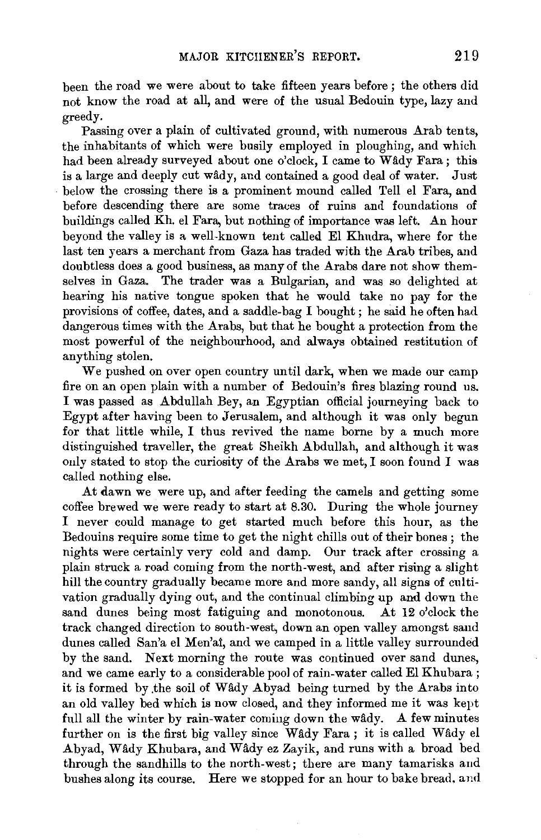been the road we were about to take fifteen years before ; the others did not know the road at all, and were of the usual Bedouin type, lazy and greedy.

Passing over a plain of cultivated ground, with numerous Arab tents, the inhabitants of which were busily employed in ploughing, and which had been already surveyed about one o'clock, I came to Wady Fara; this is a large and deeply cut wddy, and contained a good deal of water. Just below the crossing there is a prominent mound called Tell el Fara, and before descending there are some traces of ruins and foundations of buildings called Kh. el Fara, but nothing of importance was left. An hour beyond the valley is a well-known tent called El Khudra, where for the last ten years a merchant from Gaza has traded with the Arab tribes, and doubtless does a good business, as many of the Arabs dare not show themselves in Gaza. The trader was a Bulgarian, and was so delighted at hearing his native tongue spoken that he would take no pay for the provisions of coffee, dates, and a saddle-bag I bought; he said he often had dangerous times with the Arabs, but that he bought a protection from the most powerful of the neighbourhood, and always obtained restitution of anything stolen.

We pushed on over open country until dark, when we made our camp fire on an open plain with a number of Bedouin's fires blazing round us. I was passed as Abdullah Bey, an Egyptian official journeying back to Egypt after having been to Jerusalem, and although it was only begun for that little while, I thus revived the name borne by a much more distinguished traveller, the great Sheikh Abdullah, and although it was only stated to stop the curiosity of the Arabs we met, I soon found I was called nothing else.

At dawn we were up, and after feeding the camels and getting some coffee brewed we were ready to start at 8.30. During the whole journey I never could manage to get started much before this hour, as the Bedouins require some time to get the night chills out of their bones ; the nights were certainly very cold and damp. Our track after crossing a plain struck a road coming from the north-west, and after rising a slight hill the country gradually became more and more sandy, all signs of cultivation gradually dying out, and the continual climbing up and down the sand dunes being most fatiguing and monotonous. At 12 o'clock the track changed direction to south-west, down an open valley amongst sand dunes called San'a el Men'ai, and we camped in a little valley surrounded by the sand. Next morning the route was continued over sand dunes, and we came early to a considerable pool of rain-water called El Khubara; it is formed by .the soil of Wddy Abyad being turned by the Arabs into an old valley bed which is now closed, and they informed me it was kept full all the winter by rain-water coming down the wâdy. A few minutes further on is the first big valley since Wady Fara; it is called Wady el Abyad, Wddy Khubara, and Wddy ez Zayik, and runs with a broad bed through the sandhills to the north-west; there are many tamarisks and bushes along its course. Here we stopped for an hour to bake bread, and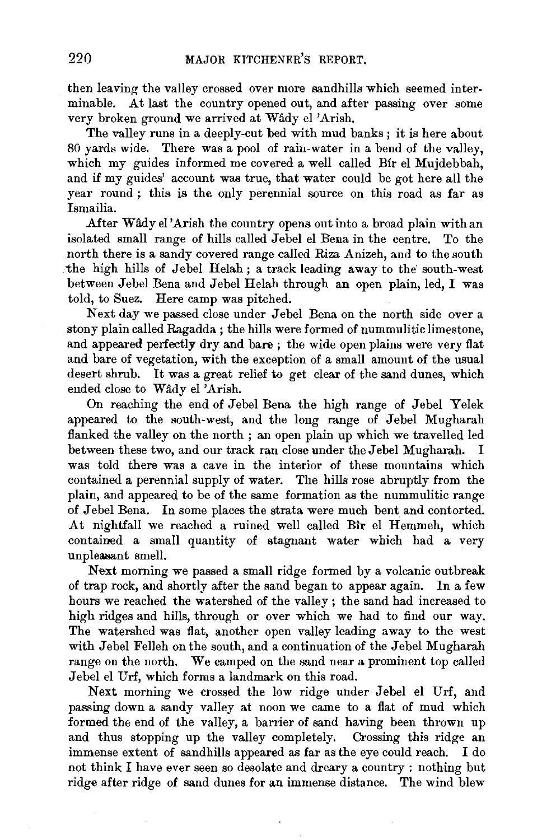then leaving the valley crossed over more sandhills which seemed interminable. At last the country opened out, and after passing over some very broken ground we arrived at Wady el 'Arish.

The valley runs in a deeply-cut bed with mud banks; it is here about 80 yards wide. There was a pool of rain-water in a bend of the valley, which my guides informed me covered a well called Bir el Mujdebbah, and if my guides' account was true, that water could be got here all the year round ; this is the only perennial source on this road as far as Ismailia.

After Wady el 'Arish the country opens out into a broad plain with an isolated small range of hills called Jebel el Bena in the centre. To the north there is a sandy covered range called Riza Anizeh, and to the south the high hills of Jebel Helah; a track leading away to the south-west between Jebel Bena and Jebel Helah through an open plain, led, I was told, to Suez. Here camp was pitched.

Next day we passed close under Jebel Bena on the north side over a stony plain called Ragadda ; the hills were formed of nummulitic limestone, and appeared perfectly dry and bare ; the wide open plains were very flat and bare of vegetation, with the exception of a small amount of the usual desert shrub. It was a great relief to get clear of the sand dunes, which ended close to Wady el 'Arish.

On reaching the end of Jebel Bena the high range of Jebel Yelek appeared to the south-west, and the long range of Jebel Mugharah flanked the valley on the north ; an open plain up which we travelled led between these two, and our track ran close under the Jebel Mugharah. I was told there was a cave in the interior of these mountains which contained a perennial supply of water. The hills rose abruptly from the plain, and appeared to be of the same formation as the nummulitic range of Jebel Bena. In some places the strata were much bent and contorted. At nightfall we reached a ruined well called Bir el Hemmeh, which contained a small quantity of stagnant water which had a very unpleasant smell.

Next morning we passed a small ridge formed by a volcanic outbreak of trap rock, and shortly after the sand began to appear again. In a few hours we reached the watershed of the valley ; the sand had increased to high ridges and hills, through or over which we had to find our way. The watershed was flat, another open valley leading away to the west with Jebel Felleh on the south, and a continuation of the Jebel Mugharah range on the north. We camped on the sand near a prominent top called Jebel el Urf, which forms a landmark on this road.

Next morning we crossed the low ridge under Jebel el Urf, and passing down a sandy valley at noon we came to a flat of mud which formed the end of the valley, a barrier of sand having been thrown up and thus stopping up the valley completely. Crossing this ridge an immense extent of sandhills appeared as far as the eye could reach. I do not think I have ever seen so desolate and dreary a country : nothing but ridge after ridge of sand dunes for an immense distance. The wind blew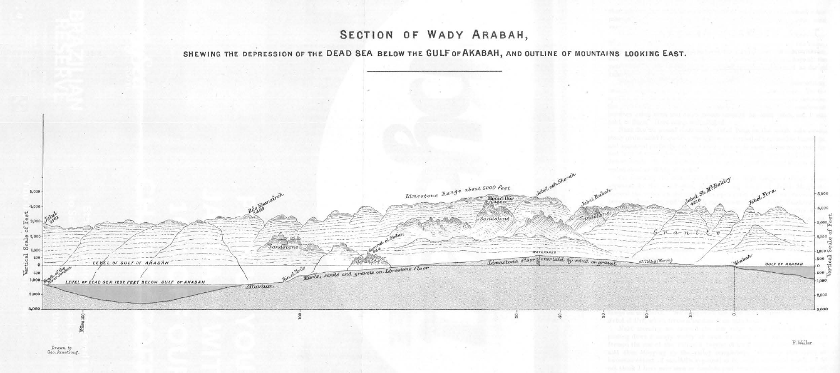

# SECTION OF WADY ARABAH,

SHEWING THE DEPRESSION OF THE DEAD SEA BELOW THE GULF OF AKABAH, AND OUTLINE OF MOUNTAINS LOOKING EAST.